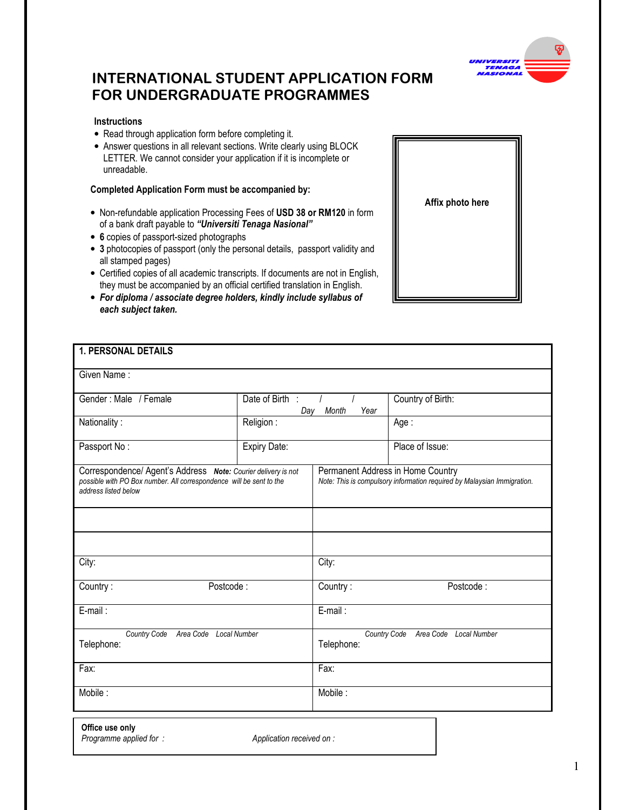

# INTERNATIONAL STUDENT APPLICATION FORM FOR UNDERGRADUATE PROGRAMMES

## **Instructions**

- Read through application form before completing it.
- Answer questions in all relevant sections. Write clearly using BLOCK LETTER. We cannot consider your application if it is incomplete or unreadable.

## Completed Application Form must be accompanied by:

- Non-refundable application Processing Fees of USD 38 or RM120 in form of a bank draft payable to "Universiti Tenaga Nasional"
- 6 copies of passport-sized photographs
- 3 photocopies of passport (only the personal details, passport validity and all stamped pages)
- Certified copies of all academic transcripts. If documents are not in English, they must be accompanied by an official certified translation in English.
- For diploma / associate degree holders, kindly include syllabus of each subject taken.

| <b>1. PERSONAL DETAILS</b>                                                                                                                                   |                                         |                                                                                                              |                   |  |  |  |  |  |
|--------------------------------------------------------------------------------------------------------------------------------------------------------------|-----------------------------------------|--------------------------------------------------------------------------------------------------------------|-------------------|--|--|--|--|--|
| Given Name:                                                                                                                                                  |                                         |                                                                                                              |                   |  |  |  |  |  |
| Gender: Male / Female                                                                                                                                        | Date of Birth :<br>Month<br>Day<br>Year |                                                                                                              | Country of Birth: |  |  |  |  |  |
| Nationality:                                                                                                                                                 | Religion:                               |                                                                                                              | Age:              |  |  |  |  |  |
| Passport No:                                                                                                                                                 | Expiry Date:                            |                                                                                                              | Place of Issue:   |  |  |  |  |  |
| Correspondence/ Agent's Address Note: Courier delivery is not<br>possible with PO Box number. All correspondence will be sent to the<br>address listed below |                                         | Permanent Address in Home Country<br>Note: This is compulsory information required by Malaysian Immigration. |                   |  |  |  |  |  |
|                                                                                                                                                              |                                         |                                                                                                              |                   |  |  |  |  |  |
|                                                                                                                                                              |                                         |                                                                                                              |                   |  |  |  |  |  |
| City:                                                                                                                                                        |                                         | City:                                                                                                        |                   |  |  |  |  |  |
| Postcode:<br>Country:                                                                                                                                        |                                         | Postcode:<br>Country:                                                                                        |                   |  |  |  |  |  |
| E-mail:                                                                                                                                                      |                                         | E-mail:                                                                                                      |                   |  |  |  |  |  |
| Country Code Area Code Local Number<br>Telephone:                                                                                                            |                                         | Country Code Area Code Local Number<br>Telephone:                                                            |                   |  |  |  |  |  |
| Fax:                                                                                                                                                         |                                         | Fax:                                                                                                         |                   |  |  |  |  |  |
| Mobile:                                                                                                                                                      |                                         | Mobile:                                                                                                      |                   |  |  |  |  |  |
|                                                                                                                                                              |                                         |                                                                                                              |                   |  |  |  |  |  |

Affix photo here

Office use only

Programme applied for : Application received on :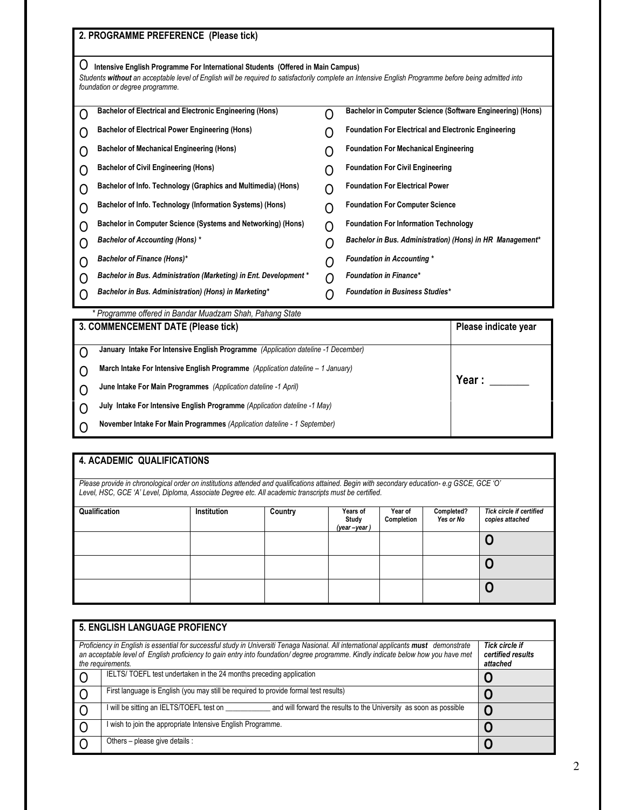|                                                                                        | 2. PROGRAMME PREFERENCE (Please tick)                                                                                                                                                                                                                                       |                                         |                                                             |  |  |  |  |  |
|----------------------------------------------------------------------------------------|-----------------------------------------------------------------------------------------------------------------------------------------------------------------------------------------------------------------------------------------------------------------------------|-----------------------------------------|-------------------------------------------------------------|--|--|--|--|--|
|                                                                                        | Intensive English Programme For International Students (Offered in Main Campus)<br>Students without an acceptable level of English will be required to satisfactorily complete an Intensive English Programme before being admitted into<br>foundation or degree programme. |                                         |                                                             |  |  |  |  |  |
|                                                                                        |                                                                                                                                                                                                                                                                             |                                         |                                                             |  |  |  |  |  |
| O                                                                                      | <b>Bachelor of Electrical and Electronic Engineering (Hons)</b>                                                                                                                                                                                                             |                                         | Bachelor in Computer Science (Software Engineering) (Hons)  |  |  |  |  |  |
| 0                                                                                      | <b>Bachelor of Electrical Power Engineering (Hons)</b>                                                                                                                                                                                                                      |                                         | <b>Foundation For Electrical and Electronic Engineering</b> |  |  |  |  |  |
| 0                                                                                      | <b>Bachelor of Mechanical Engineering (Hons)</b>                                                                                                                                                                                                                            |                                         | <b>Foundation For Mechanical Engineering</b>                |  |  |  |  |  |
| ( )                                                                                    | <b>Bachelor of Civil Engineering (Hons)</b>                                                                                                                                                                                                                                 | <b>Foundation For Civil Engineering</b> |                                                             |  |  |  |  |  |
| ( )                                                                                    | Bachelor of Info. Technology (Graphics and Multimedia) (Hons)                                                                                                                                                                                                               | <b>Foundation For Electrical Power</b>  |                                                             |  |  |  |  |  |
| Ω                                                                                      | Bachelor of Info. Technology (Information Systems) (Hons)<br><b>Foundation For Computer Science</b><br>( )                                                                                                                                                                  |                                         |                                                             |  |  |  |  |  |
| 0                                                                                      | Bachelor in Computer Science (Systems and Networking) (Hons)<br><b>Foundation For Information Technology</b>                                                                                                                                                                |                                         |                                                             |  |  |  |  |  |
| O                                                                                      | <b>Bachelor of Accounting (Hons) *</b><br>Bachelor in Bus. Administration) (Hons) in HR Management*<br>( )                                                                                                                                                                  |                                         |                                                             |  |  |  |  |  |
| $\Box$                                                                                 | Bachelor of Finance (Hons)*<br><b>Foundation in Accounting *</b><br>( )                                                                                                                                                                                                     |                                         |                                                             |  |  |  |  |  |
| O                                                                                      | Bachelor in Bus. Administration (Marketing) in Ent. Development *                                                                                                                                                                                                           | ( )                                     | <b>Foundation in Finance*</b>                               |  |  |  |  |  |
|                                                                                        | Bachelor in Bus. Administration) (Hons) in Marketing*                                                                                                                                                                                                                       | <b>Foundation in Business Studies*</b>  |                                                             |  |  |  |  |  |
|                                                                                        | * Programme offered in Bandar Muadzam Shah, Pahang State                                                                                                                                                                                                                    |                                         |                                                             |  |  |  |  |  |
|                                                                                        | 3. COMMENCEMENT DATE (Please tick)                                                                                                                                                                                                                                          | Please indicate year                    |                                                             |  |  |  |  |  |
| January Intake For Intensive English Programme (Application dateline -1 December)<br>Ο |                                                                                                                                                                                                                                                                             |                                         |                                                             |  |  |  |  |  |
| March Intake For Intensive English Programme (Application dateline - 1 January)<br>( ) |                                                                                                                                                                                                                                                                             |                                         |                                                             |  |  |  |  |  |
|                                                                                        | June Intake For Main Programmes (Application dateline -1 April)                                                                                                                                                                                                             | Year :                                  |                                                             |  |  |  |  |  |

O July Intake For Intensive English Programme (Application dateline -1 May)

O November Intake For Main Programmes (Application dateline - 1 September)

# 4. ACADEMIC QUALIFICATIONS

Please provide in chronological order on institutions attended and qualifications attained. Begin with secondary education- e.g GSCE, GCE 'O' Level, HSC, GCE 'A' Level, Diploma, Associate Degree etc. All academic transcripts must be certified.

| Qualification | Institution | Country | Years of<br>Study<br>(year-year) | Year of<br>Completion | Completed?<br>Yes or No | Tick circle if certified<br>copies attached |
|---------------|-------------|---------|----------------------------------|-----------------------|-------------------------|---------------------------------------------|
|               |             |         |                                  |                       |                         | u                                           |
|               |             |         |                                  |                       |                         | v                                           |
|               |             |         |                                  |                       |                         | ഄ                                           |

|                                                                                                                                                                                                                                                                                                 | 5. ENGLISH LANGUAGE PROFIENCY                                                                                |  |
|-------------------------------------------------------------------------------------------------------------------------------------------------------------------------------------------------------------------------------------------------------------------------------------------------|--------------------------------------------------------------------------------------------------------------|--|
| Proficiency in English is essential for successful study in Universiti Tenaga Nasional. All international applicants must demonstrate<br>an acceptable level of English proficiency to gain entry into foundation/degree programme. Kindly indicate below how you have met<br>the requirements. | <b>Tick circle if</b><br>certified results<br>attached                                                       |  |
|                                                                                                                                                                                                                                                                                                 | IELTS/TOEFL test undertaken in the 24 months preceding application                                           |  |
| I O                                                                                                                                                                                                                                                                                             | First language is English (you may still be required to provide formal test results)                         |  |
| I O                                                                                                                                                                                                                                                                                             | will be sitting an IELTS/TOEFL test on<br>and will forward the results to the University as soon as possible |  |
| I O                                                                                                                                                                                                                                                                                             | wish to join the appropriate Intensive English Programme.                                                    |  |
| l O                                                                                                                                                                                                                                                                                             | Others - please give details :                                                                               |  |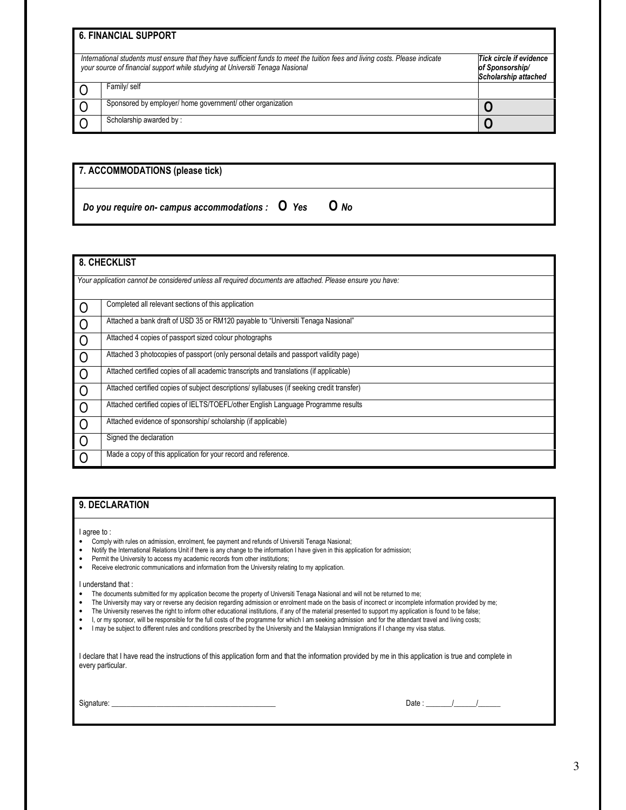|                                                                                                                                                                                                                | <b>6. FINANCIAL SUPPORT</b>                                        |  |
|----------------------------------------------------------------------------------------------------------------------------------------------------------------------------------------------------------------|--------------------------------------------------------------------|--|
| International students must ensure that they have sufficient funds to meet the tuition fees and living costs. Please indicate<br>your source of financial support while studying at Universiti Tenaga Nasional | Tick circle if evidence<br>of Sponsorship/<br>Scholarship attached |  |
|                                                                                                                                                                                                                | Family/ self                                                       |  |
|                                                                                                                                                                                                                | Sponsored by employer/ home government/ other organization         |  |
|                                                                                                                                                                                                                | Scholarship awarded by:                                            |  |

| 7. ACCOMMODATIONS (please tick)                         |  |        |  |  |  |  |
|---------------------------------------------------------|--|--------|--|--|--|--|
| Do you require on- campus accommodations : $\sigma$ Yes |  | $O$ No |  |  |  |  |

## 8. CHECKLIST

|                | Your application cannot be considered unless all required documents are attached. Please ensure you have: |
|----------------|-----------------------------------------------------------------------------------------------------------|
| $\circ$        | Completed all relevant sections of this application                                                       |
| . O            | Attached a bank draft of USD 35 or RM120 payable to "Universiti Tenaga Nasional"                          |
| $\circ$        | Attached 4 copies of passport sized colour photographs                                                    |
| $\overline{O}$ | Attached 3 photocopies of passport (only personal details and passport validity page)                     |
| $\overline{0}$ | Attached certified copies of all academic transcripts and translations (if applicable)                    |
| $\Omega$       | Attached certified copies of subject descriptions/ syllabuses (if seeking credit transfer)                |
| $\overline{O}$ | Attached certified copies of IELTS/TOEFL/other English Language Programme results                         |
| $\circ$        | Attached evidence of sponsorship/scholarship (if applicable)                                              |
| $\overline{0}$ | Signed the declaration                                                                                    |
| $\Omega$       | Made a copy of this application for your record and reference.                                            |

## 9. DECLARATION

I agree to :

- Comply with rules on admission, enrolment, fee payment and refunds of Universiti Tenaga Nasional;<br>• Notify the International Relations Unit if there is any change to the information I have given in this apr
- Notify the International Relations Unit if there is any change to the information I have given in this application for admission;<br>• Permit the University to access my academic records from other institutions;
- Permit the University to access my academic records from other institutions;<br>• Receive electronic communications and information from the University relations
- Receive electronic communications and information from the University relating to my application.

I understand that :

- The documents submitted for my application become the property of Universiti Tenaga Nasional and will not be returned to me;<br>• The University may vary or reverse any decision regarding admission or enrolment made on the
- The University may vary or reverse any decision regarding admission or enrolment made on the basis of incorrect or incomplete information provided by me;<br>• The University reserves the right to inform other educational in
- The University reserves the right to inform other educational institutions, if any of the material presented to support my application is found to be false;
- I, or my sponsor, will be responsible for the full costs of the programme for which I am seeking admission and for the attendant travel and living costs;<br>• I may be subject to different rules and conditions prescribed by
- I may be subject to different rules and conditions prescribed by the University and the Malaysian Immigrations if I change my visa status.

I declare that I have read the instructions of this application form and that the information provided by me in this application is true and complete in every particular.

| Signature: |  |  |
|------------|--|--|
|            |  |  |

Signature: \_\_\_\_\_\_\_\_\_\_\_\_\_\_\_\_\_\_\_\_\_\_\_\_\_\_\_\_\_\_\_\_\_\_\_\_\_\_\_\_\_\_\_\_ Date : \_\_\_\_\_\_\_/\_\_\_\_\_\_/\_\_\_\_\_\_